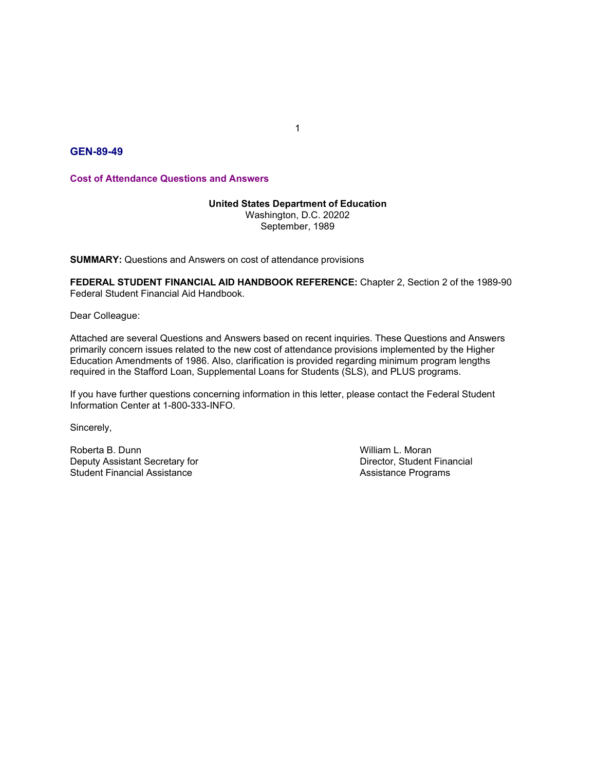# GEN-89-49

Cost of Attendance Questions and Answers

#### United States Department of Education

Washington, D.C. 20202 September, 1989

SUMMARY: Questions and Answers on cost of attendance provisions

FEDERAL STUDENT FINANCIAL AID HANDBOOK REFERENCE: Chapter 2, Section 2 of the 1989-90 Federal Student Financial Aid Handbook.

Dear Colleague:

Attached are several Questions and Answers based on recent inquiries. These Questions and Answers primarily concern issues related to the new cost of attendance provisions implemented by the Higher Education Amendments of 1986. Also, clarification is provided regarding minimum program lengths required in the Stafford Loan, Supplemental Loans for Students (SLS), and PLUS programs. United States Department of Education<br>
Washington, D.C. 20202<br>
September, 1989<br>
SUMMARY: Questions and Answers on cost of attendance provisions<br>
FEDERAL STUDENT FINANCIAL AID HANDBOOK REFERENCE: Chapter 2, Section 2 of the Washington, D.C. 20202<br>
September, 1989<br>
September, 1989<br>
September, 1989<br>
FEDERAL STUDENT FINANCIAL AID HANDBOOK REFERENCE: Chapter 2, Section 2 of the 1989-90<br>
Federal Student Financial Aid Handbook.<br>
Dear Colleague:<br>
At September, 1989<br>
September, 1989<br>
September, 1989<br>
September, 1989<br>
Federal Student Financial Aid Handbook.<br>
Dear Colleague:<br>
Attached are several Questions and Answers based on recent inquiries. These Questions and Answer

If you have further questions concerning information in this letter, please contact the Federal Student Information Center at 1-800-333-INFO.

Sincerely,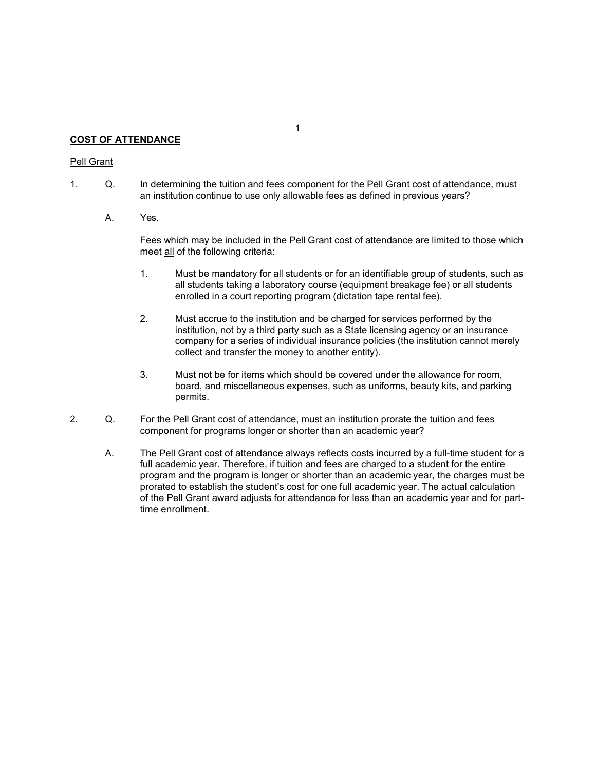## **COST OF ATTENDANCE**

## Pell Grant

- 1. Concept COST OF ATTENDANCE<br>
1. Q. In determining the tuition and fees component for the Pell Grant cost of attendance, must<br>
an institution continue to use only <u>allowable</u> fees as defined in previous years?<br>
A. Yes.<br>
F an institution continue to use only allowable fees as defined in previous years? F ATTENDANCE<br>
The determining the tuition and fees component for the Pell Grant cost of atte<br>
an institution continue to use only <u>allowable</u> fees as defined in previous year<br>
A. Yes.<br>
Fees which may be included in the Pel
	-

Fees which may be included in the Pell Grant cost of attendance are limited to those which meet all of the following criteria:

- <sup>1</sup><br>
In determining the tuition and fees component for the Pell Grant cost of attendance<br>
an institution continue to use only <u>allowable</u> fees as defined in previous years?<br>
Yes.<br>
Fees which may be included in the Pell Gra 1. Must be mandatory for all students as a ferroric the Pell Grant cost of attendance, must<br>an institution continue to use only <u>allowable</u> fees as defined in previous years?<br>Yes.<br>These which may be included in the Pell Gr all students taking a laboratory course (equipment breakage fee) or all students enrolled in a court reporting program (dictation tape rental fee).
- 1<br>
2. Must accrue to the institution and fees component for the Pell Grant cost of attendance, must<br>
an institution continue to use only <u>allowable</u> fees as defined in previous years?<br>
Yes.<br>
Fees which may be included in t institution, not by a third party such as a State licensing agency or an insurance company for a series of individual insurance policies (the institution cannot merely collect and transfer the money to another entity). 1<br> **Solution**<br>
1<br> **Solution** in the tution and fees component for the Pell Grant cost of attendance, must<br>
an institution continue to use only <u>allowable</u> fees as defined in previous years?<br>
Yes.<br>
Fees which may be include 2. In determining the tution and fees component for the Pell Grant cost of attendance, must<br>an institution continue to use only <u>allowable</u> fees as defined in previous years?<br>A.<br>Yes.<br>Fees which may be included in the Pell
	- board, and miscellaneous expenses, such as uniforms, beauty kits, and parking permits.
- component for programs longer or shorter than an academic year?
- A. Yes.<br>
Yes.<br>
The Pell Grant cost of attendance are limited to those which<br>
meet all of the following criteria:<br>
1. Must be mandatory for all students or for an identifiable group of students, such as<br>
all students faking full academic year. Therefore, if tuition and fees are charged to a student for the entire program and the program is longer or shorter than an academic year, the charges must be prorated to establish the student's cost for one full academic year. The actual calculation of the Pell Grant award adjusts for attendance for less than an academic year and for parttime enrollment.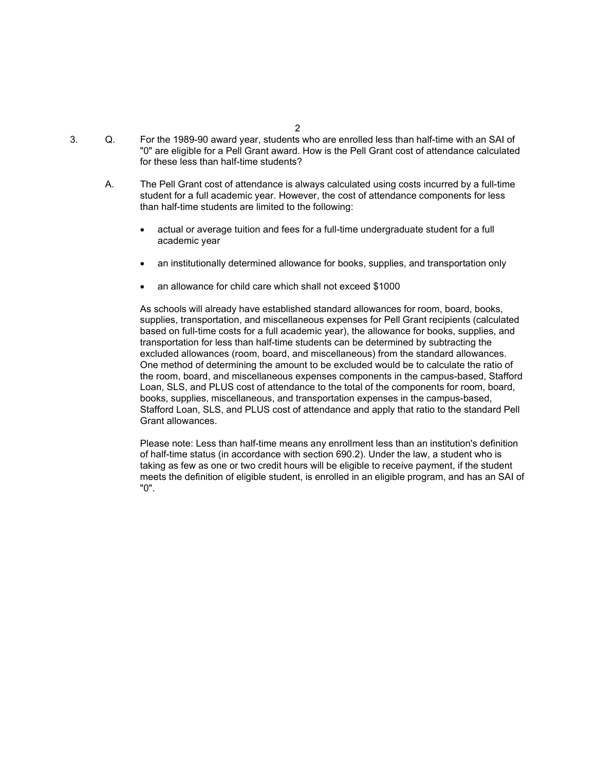- 2 and 2 and 2 and 2 and 2 and 2 and 2 and 2 and 2 and 2 and 2 and 2 and 2 and 2 and 2 and 2 and 2 and 2 and 2
- 2.<br>
3. Co. For the 1989-90 award year, students who are enrolled less than half-time with an SAI of<br>
"0" are eligible for a Pell Grant award. How is the Pell Grant cost of attendance calculated<br>
of these less than half-tim "0" are eligible for a Pell Grant award. How is the Pell Grant cost of attendance calculated for these less than half-time students?
	- A. For the 1989-90 award year, students who are enrolled less than half-time with an SAI of<br>"0" are eligible for a Pell Grant award. How is the Pell Grant cost of attendance calculated<br>for these iess than half-time studen student for a full academic year. However, the cost of attendance components for less than half-time students are limited to the following:
		- actual or average tuition and fees for a full-time undergraduate student for a full academic year
		- an institutionally determined allowance for books, supplies, and transportation only
		- an allowance for child care which shall not exceed \$1000

As schools will already have established standard allowances for room, board, books, supplies, transportation, and miscellaneous expenses for Pell Grant recipients (calculated based on full-time costs for a full academic year), the allowance for books, supplies, and transportation for less than half-time students can be determined by subtracting the excluded allowances (room, board, and miscellaneous) from the standard allowances. One method of determining the amount to be excluded would be to calculate the ratio of the room, board, and miscellaneous expenses components in the campus-based, Stafford Loan, SLS, and PLUS cost of attendance to the total of the components for room, board, books, supplies, miscellaneous, and transportation expenses in the campus-based, Stafford Loan, SLS, and PLUS cost of attendance and apply that ratio to the standard Pell Grant allowances.

Please note: Less than half-time means any enrollment less than an institution's definition of half-time status (in accordance with section 690.2). Under the law, a student who is taking as few as one or two credit hours will be eligible to receive payment, if the student meets the definition of eligible student, is enrolled in an eligible program, and has an SAI of "0".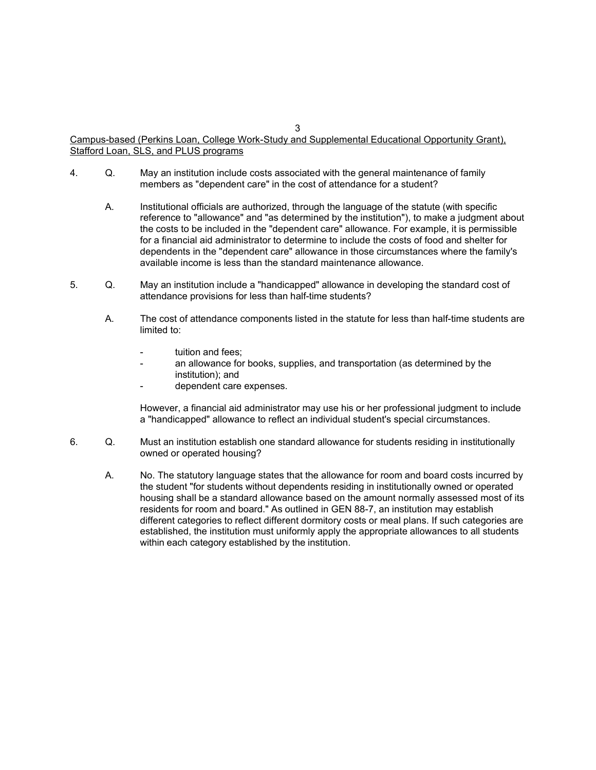#### $3 \overline{3}$ Campus-based (Perkins Loan, College Work-Study and Supplemental Educational Opportunity Grant), Stafford Loan, SLS, and PLUS programs

- members as "dependent care" in the cost of attendance for a student?
- 2. Campus-based (Perkins Loan, College Work-Study and Supplemental Educational Opportunity Grant),<br>2. Stafford Loan, SLS, and PLUS programs<br>4. Q. May an institution include costs associated with the general maintenance of A. Institutional officials are authorized, through the displacemental Educational Opportunity Grant).<br>
A. May an institution include costs associated with the general maintenance of family<br>
members as "dependent care" in t reference to "allowance" and "as determined by the institution"), to make a judgment about the costs to be included in the "dependent care" allowance. For example, it is permissible for a financial aid administrator to determine to include the costs of food and shelter for dependents in the "dependent care" allowance in those circumstances where the family's available income is less than the standard maintenance allowance. Campus-based (Perkins Loan, College Work-Study and Supplemental Educational Opportunity Grant),<br>
Stafford Loan, SLS, and PLUS programs<br>
4. Q. May an institution include costs associated with the general maintenance of fam A. The cost of attendance components is tell than the statute for a student in the cost of attendance of a student of a ministerium in the cost of attendance for a student?<br>
A. Institutional officials are authorized, throu 3<br>
<u>Bush and PLUS programs</u><br>
13. And PLUS programs<br>
May an institution include costs associated with the general maintenance of family<br>
members as "dependent care" in the cost of attendance for a student?<br>
Institutional of **Perkins Loan. College Work-Study and Supplemental Educational Opportunity Grant).**<br> **LS, and PLUS programs**<br>
May an institution include costs associated with the general maintenance of family<br>
members as "dependent care" Perkins Loan. College Work-Study and Supplemental Educational Opportunity Granch Conditional S. And PLUS programs<br>
May an institution include costs associated with the general maintenance of family<br>
members as "dependent c Fractive institutional officials are authorized, through the language of the statute (with specific reference to "allowance" and "as determined by the institution"), to make a judgment about<br>the costs to be included in the
- attendance provisions for less than half-time students?
	- limited to:
		-
		- institution); and
		-

However, a financial aid administrator may use his or her professional judgment to include a "handicapped" allowance to reflect an individual student's special circumstances.

- owned or operated housing?
- the costs to be included in the "dependent care" allowance. For example, it is permissible<br>for a financial aid administrator to determine to include the costs of food and sheller for<br>dependents in the "dependent care" allo the student "for students without dependents residing in institutionally owned or operated housing shall be a standard allowance based on the amount normally assessed most of its residents for room and board." As outlined in GEN 88-7, an institution may establish different categories to reflect different dormitory costs or meal plans. If such categories are established, the institution must uniformly apply the appropriate allowances to all students within each category established by the institution.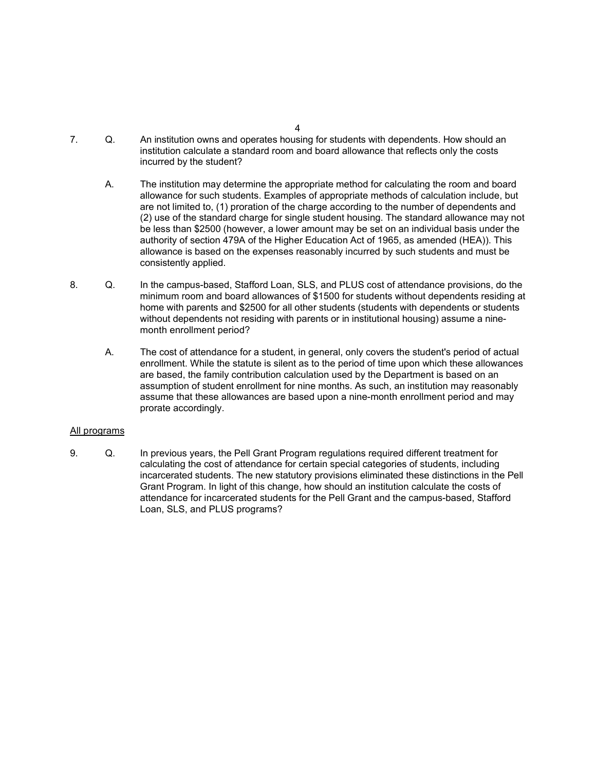- 4<br>
2. An institution owns and operates housing for students with dependents. How should an<br>
institution calculate a standard room and board allowance that reflects only the costs<br>
incurred by the student?<br>
A. The instituti institution calculate a standard room and board allowance that reflects only the costs incurred by the student?
- A.<br>
A. Institution owns and operates housing for students with dependents. How should an<br>
institution calculate a standard room and board allowance that reflects only the costs<br>
incurred by the student?<br>
A. The institutio allowance for such students. Examples of appropriate methods of calculation include, but are not limited to, (1) proration of the charge according to the number of dependents and (2) use of the standard charge for single student housing. The standard allowance may not be less than \$2500 (however, a lower amount may be set on an individual basis under the authority of section 479A of the Higher Education Act of 1965, as amended (HEA)). This allowance is based on the expenses reasonably incurred by such students and must be consistently applied. 8. Co. In institution owns and operates housing for students with dependents. How should an institution calculate a standard room and board allowance that reflects only the costs<br>incurred by the student?<br>The institution ma A.<br>
A. The institution calculate a standard room and board allowance that reflects only the costs<br>
incurred by the student?<br>
A. The institution may determine the appropriate method for calculating the room and board<br>
allo
- minimum room and board allowances of \$1500 for students without dependents residing at home with parents and \$2500 for all other students (students with dependents or students without dependents not residing with parents or in institutional housing) assume a ninemonth enrollment period?
	- enrollment. While the statute is silent as to the period of time upon which these allowances are based, the family contribution calculation used by the Department is based on an assumption of student enrollment for nine months. As such, an institution may reasonably assume that these allowances are based upon a nine-month enrollment period and may prorate accordingly.

## All programs

are not limited to. (1) proration of the charge according to the number of dependents and<br>
(2) use of the standard charge for single student housing. The standard allowance may not<br>
be less than \$2500 (however, a lower amo calculating the cost of attendance for certain special categories of students, including incarcerated students. The new statutory provisions eliminated these distinctions in the Pell Grant Program. In light of this change, how should an institution calculate the costs of attendance for incarcerated students for the Pell Grant and the campus-based, Stafford Loan, SLS, and PLUS programs?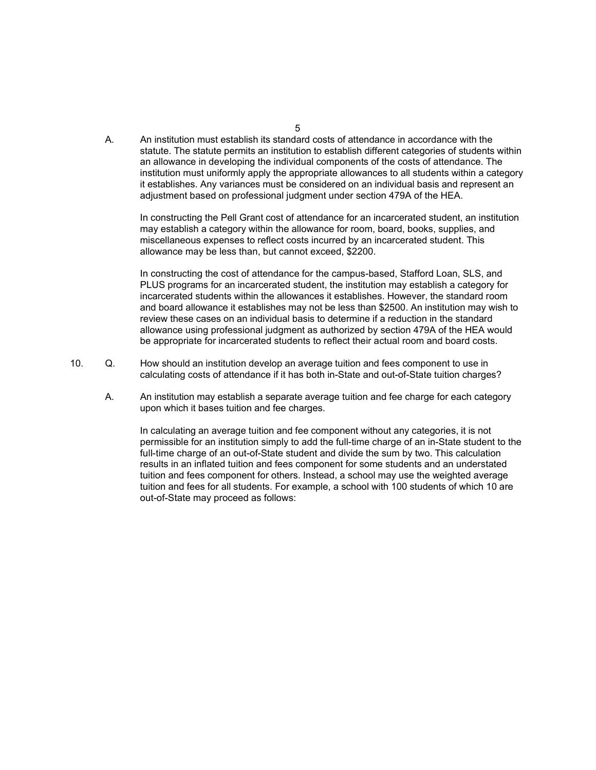A.<br>An institution must establish its standard costs of attendance in accordance with the<br>statute. The statute permits an institution to establish different categories of students within<br>an allowance in developing the indiv statute. The statute permits an institution to establish different categories of students within an allowance in developing the individual components of the costs of attendance. The institution must uniformly apply the appropriate allowances to all students within a category it establishes. Any variances must be considered on an individual basis and represent an adjustment based on professional judgment under section 479A of the HEA.

In constructing the Pell Grant cost of attendance for an incarcerated student, an institution may establish a category within the allowance for room, board, books, supplies, and miscellaneous expenses to reflect costs incurred by an incarcerated student. This allowance may be less than, but cannot exceed, \$2200.

In constructing the cost of attendance for the campus-based, Stafford Loan, SLS, and PLUS programs for an incarcerated student, the institution may establish a category for incarcerated students within the allowances it establishes. However, the standard room and board allowance it establishes may not be less than \$2500. An institution may wish to review these cases on an individual basis to determine if a reduction in the standard allowance using professional judgment as authorized by section 479A of the HEA would be appropriate for incarcerated students to reflect their actual room and board costs. A. An institution must establish its standard costs of attendance in accordance with the statute. The statute permits an institution to establish different categories of students within an allowance in developing the indi statute. The statute permits an institution to establish different categories of students within<br>an allowance in developing the individual components of the costs of attendance. The<br>institution must uniformly apply the app

- calculating costs of attendance if it has both in-State and out-of-State tuition charges?
	- upon which it bases tuition and fee charges.

In calculating an average tuition and fee component without any categories, it is not permissible for an institution simply to add the full-time charge of an in-State student to the full-time charge of an out-of-State student and divide the sum by two. This calculation results in an inflated tuition and fees component for some students and an understated tuition and fees component for others. Instead, a school may use the weighted average tuition and fees for all students. For example, a school with 100 students of which 10 are out-of-State may proceed as follows:

 $5<sub>5</sub>$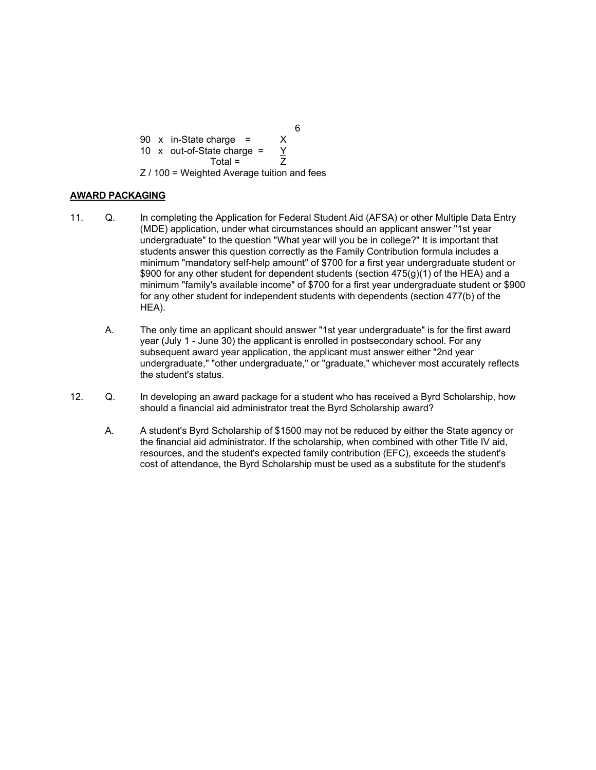$6\,$ 90 x in-State charge =  $\frac{6}{10}$ <br>
10 x out-of-State charge =  $\frac{Y}{Total}$ <br>  $Z/100 = Weighted Average$  tuition and fees<br>
GING 90 x in-State charge =  $\frac{6}{10}$ <br>
10 x out-of-State charge =  $\frac{Y}{2}$ <br>  $\frac{1}{100}$  = Weighted Average tuition and fees<br>
GING harge =  $\chi$ <br>
ate charge =  $\frac{\gamma}{Z}$ <br>
Total =  $\frac{\gamma}{Z}$ <br>
Example 2 and Average tuition and fees<br>
Application for Federal Student Aid (AFSA) or other Multiple Data Entry Z / 100 = Weighted Average tuition and fees

# AWARD PACKAGING

- 10.  $\times$  in-State charge =  $\times$ <br>
10  $\times$  out-of-State charge =  $\times$ <br>
27.100 = Weighted Average tuition and fees<br> **AWARD PACKAGING**<br>
11. Q. In completing the Application for Federal Student Aid (AFSA) or other Multiple Dat (MDE) application, under what circumstances should an applicant answer "1st year undergraduate" to the question "What year will you be in college?" It is important that students answer this question correctly as the Family Contribution formula includes a minimum "mandatory self-help amount" of \$700 for a first year undergraduate student or \$900 for any other student for dependent students (section  $475(q)(1)$  of the HEA) and a minimum "family's available income" of \$700 for a first year undergraduate student or \$900 for any other student for independent students with dependents (section 477(b) of the HEA). 90 x in-State charge =  $\frac{8}{2}$ <br>
10 x out-of-State charge =  $\frac{1}{2}$ <br>  $Z/100$  = Weighted Average tution and fees<br> **PACKAGING**<br>
0. In completing the Application for Federal Student Aid (AFSA) or other Multiple Data Entry 10 x out-of-State charge =  $\frac{y}{Z}$ <br>
2 / 100 = Weighted Average tuition and fees<br>
2 / 100 = Weighted Average tuition and fees<br>
11. Q. In completing the Application for Federal Student Aid (AFSA) or other Multiple Data En **PACKAGING**<br>
(a. In completing the Application for Federal Student Aid (AFSA) or other Multiple Data Entry<br>
(MDE) application, under what circumstances should an applicant answer "1st year<br>
undergraduate to the question "O
	- year (July 1 June 30) the applicant is enrolled in postsecondary school. For any subsequent award year application, the applicant must answer either "2nd year undergraduate," "other undergraduate," or "graduate," whichever most accurately reflects the student's status.
- should a financial aid administrator treat the Byrd Scholarship award?
	- the financial aid administrator. If the scholarship, when combined with other Title IV aid, resources, and the student's expected family contribution (EFC), exceeds the student's cost of attendance, the Byrd Scholarship must be used as a substitute for the student's